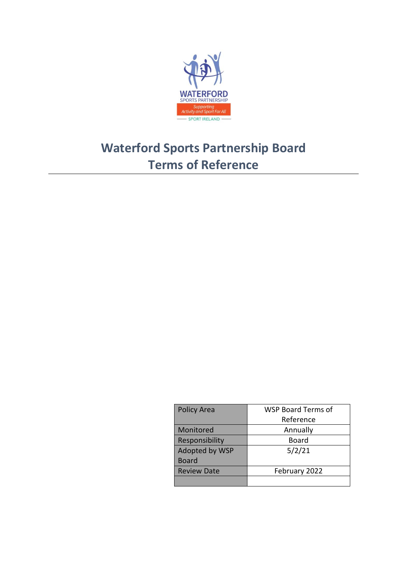

# **Waterford Sports Partnership Board Terms of Reference**

| <b>Policy Area</b> | WSP Board Terms of |
|--------------------|--------------------|
|                    | Reference          |
| Monitored          | Annually           |
| Responsibility     | Board              |
| Adopted by WSP     | 5/2/21             |
| <b>Board</b>       |                    |
| <b>Review Date</b> | February 2022      |
|                    |                    |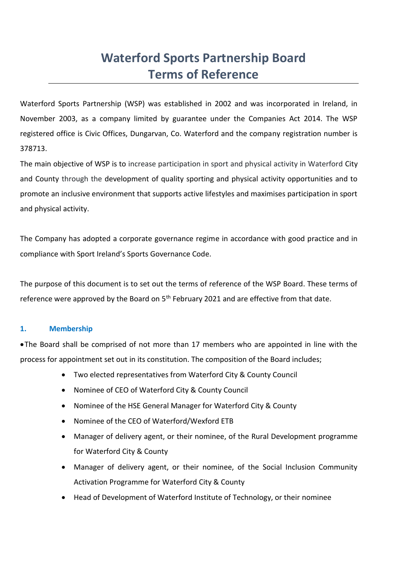# **Waterford Sports Partnership Board Terms of Reference**

Waterford Sports Partnership (WSP) was established in 2002 and was incorporated in Ireland, in November 2003, as a company limited by guarantee under the Companies Act 2014. The WSP registered office is Civic Offices, Dungarvan, Co. Waterford and the company registration number is 378713.

The main objective of WSP is to increase participation in sport and physical activity in Waterford City and County through the development of quality sporting and physical activity opportunities and to promote an inclusive environment that supports active lifestyles and maximises participation in sport and physical activity.

The Company has adopted a corporate governance regime in accordance with good practice and in compliance with Sport Ireland's Sports Governance Code.

The purpose of this document is to set out the terms of reference of the WSP Board. These terms of reference were approved by the Board on  $5<sup>th</sup>$  February 2021 and are effective from that date.

# **1. Membership**

•The Board shall be comprised of not more than 17 members who are appointed in line with the process for appointment set out in its constitution. The composition of the Board includes;

- Two elected representatives from Waterford City & County Council
- Nominee of CEO of Waterford City & County Council
- Nominee of the HSE General Manager for Waterford City & County
- Nominee of the CEO of Waterford/Wexford ETB
- Manager of delivery agent, or their nominee, of the Rural Development programme for Waterford City & County
- Manager of delivery agent, or their nominee, of the Social Inclusion Community Activation Programme for Waterford City & County
- Head of Development of Waterford Institute of Technology, or their nominee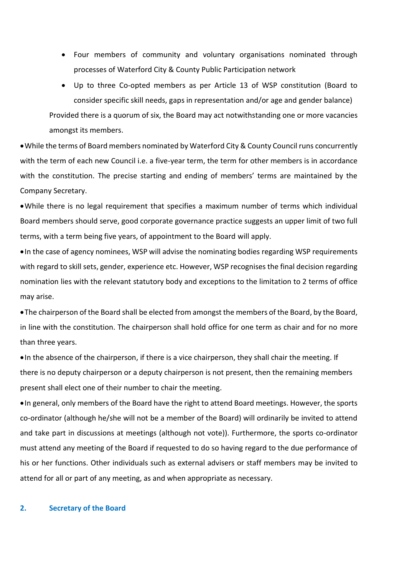• Four members of community and voluntary organisations nominated through processes of Waterford City & County Public Participation network

• Up to three Co-opted members as per Article 13 of WSP constitution (Board to consider specific skill needs, gaps in representation and/or age and gender balance) Provided there is a quorum of six, the Board may act notwithstanding one or more vacancies amongst its members.

•While the terms of Board members nominated by Waterford City & County Council runs concurrently with the term of each new Council i.e. a five-year term, the term for other members is in accordance with the constitution. The precise starting and ending of members' terms are maintained by the Company Secretary.

•While there is no legal requirement that specifies a maximum number of terms which individual Board members should serve, good corporate governance practice suggests an upper limit of two full terms, with a term being five years, of appointment to the Board will apply.

•In the case of agency nominees, WSP will advise the nominating bodies regarding WSP requirements with regard to skill sets, gender, experience etc. However, WSP recognises the final decision regarding nomination lies with the relevant statutory body and exceptions to the limitation to 2 terms of office may arise.

•The chairperson of the Board shall be elected from amongst the members of the Board, by the Board, in line with the constitution. The chairperson shall hold office for one term as chair and for no more than three years.

•In the absence of the chairperson, if there is a vice chairperson, they shall chair the meeting. If there is no deputy chairperson or a deputy chairperson is not present, then the remaining members present shall elect one of their number to chair the meeting.

•In general, only members of the Board have the right to attend Board meetings. However, the sports co-ordinator (although he/she will not be a member of the Board) will ordinarily be invited to attend and take part in discussions at meetings (although not vote)). Furthermore, the sports co-ordinator must attend any meeting of the Board if requested to do so having regard to the due performance of his or her functions. Other individuals such as external advisers or staff members may be invited to attend for all or part of any meeting, as and when appropriate as necessary.

#### **2. Secretary of the Board**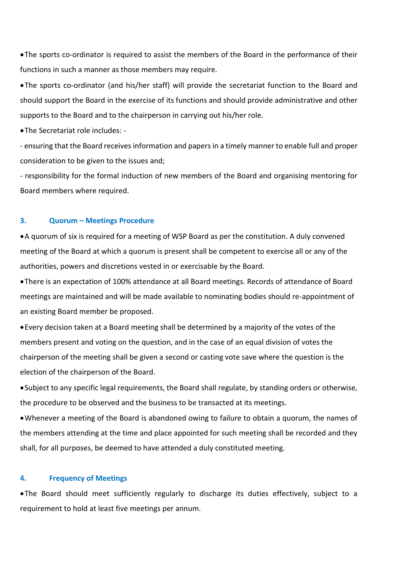•The sports co-ordinator is required to assist the members of the Board in the performance of their functions in such a manner as those members may require.

•The sports co-ordinator (and his/her staff) will provide the secretariat function to the Board and should support the Board in the exercise of its functions and should provide administrative and other supports to the Board and to the chairperson in carrying out his/her role.

•The Secretariat role includes: -

- ensuring that the Board receives information and papers in a timely manner to enable full and proper consideration to be given to the issues and;

- responsibility for the formal induction of new members of the Board and organising mentoring for Board members where required.

# **3. Quorum – Meetings Procedure**

•A quorum of six is required for a meeting of WSP Board as per the constitution. A duly convened meeting of the Board at which a quorum is present shall be competent to exercise all or any of the authorities, powers and discretions vested in or exercisable by the Board.

•There is an expectation of 100% attendance at all Board meetings. Records of attendance of Board meetings are maintained and will be made available to nominating bodies should re-appointment of an existing Board member be proposed.

•Every decision taken at a Board meeting shall be determined by a majority of the votes of the members present and voting on the question, and in the case of an equal division of votes the chairperson of the meeting shall be given a second or casting vote save where the question is the election of the chairperson of the Board.

•Subject to any specific legal requirements, the Board shall regulate, by standing orders or otherwise, the procedure to be observed and the business to be transacted at its meetings.

•Whenever a meeting of the Board is abandoned owing to failure to obtain a quorum, the names of the members attending at the time and place appointed for such meeting shall be recorded and they shall, for all purposes, be deemed to have attended a duly constituted meeting.

## **4. Frequency of Meetings**

•The Board should meet sufficiently regularly to discharge its duties effectively, subject to a requirement to hold at least five meetings per annum.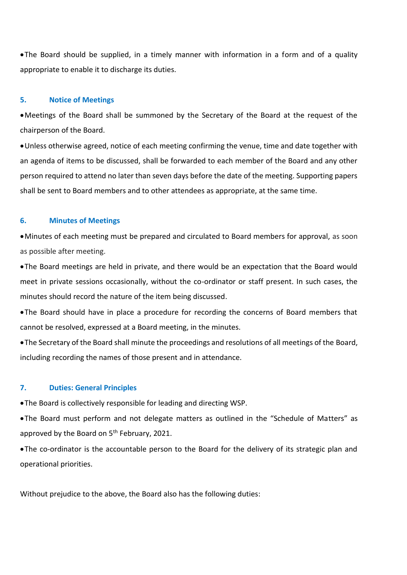•The Board should be supplied, in a timely manner with information in a form and of a quality appropriate to enable it to discharge its duties.

#### **5. Notice of Meetings**

•Meetings of the Board shall be summoned by the Secretary of the Board at the request of the chairperson of the Board.

•Unless otherwise agreed, notice of each meeting confirming the venue, time and date together with an agenda of items to be discussed, shall be forwarded to each member of the Board and any other person required to attend no later than seven days before the date of the meeting. Supporting papers shall be sent to Board members and to other attendees as appropriate, at the same time.

#### **6. Minutes of Meetings**

•Minutes of each meeting must be prepared and circulated to Board members for approval, as soon as possible after meeting.

•The Board meetings are held in private, and there would be an expectation that the Board would meet in private sessions occasionally, without the co-ordinator or staff present. In such cases, the minutes should record the nature of the item being discussed.

•The Board should have in place a procedure for recording the concerns of Board members that cannot be resolved, expressed at a Board meeting, in the minutes.

•The Secretary of the Board shall minute the proceedings and resolutions of all meetings of the Board, including recording the names of those present and in attendance.

#### **7. Duties: General Principles**

•The Board is collectively responsible for leading and directing WSP.

•The Board must perform and not delegate matters as outlined in the "Schedule of Matters" as approved by the Board on  $5<sup>th</sup>$  February, 2021.

•The co-ordinator is the accountable person to the Board for the delivery of its strategic plan and operational priorities.

Without prejudice to the above, the Board also has the following duties: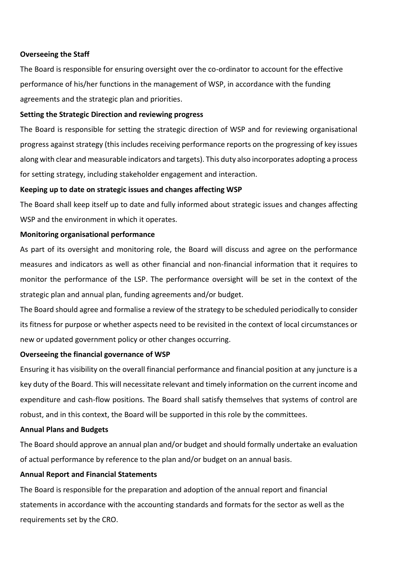## **Overseeing the Staff**

The Board is responsible for ensuring oversight over the co-ordinator to account for the effective performance of his/her functions in the management of WSP, in accordance with the funding agreements and the strategic plan and priorities.

## **Setting the Strategic Direction and reviewing progress**

The Board is responsible for setting the strategic direction of WSP and for reviewing organisational progress against strategy (this includes receiving performance reports on the progressing of key issues along with clear and measurable indicators and targets). This duty also incorporates adopting a process for setting strategy, including stakeholder engagement and interaction.

## **Keeping up to date on strategic issues and changes affecting WSP**

The Board shall keep itself up to date and fully informed about strategic issues and changes affecting WSP and the environment in which it operates.

## **Monitoring organisational performance**

As part of its oversight and monitoring role, the Board will discuss and agree on the performance measures and indicators as well as other financial and non-financial information that it requires to monitor the performance of the LSP. The performance oversight will be set in the context of the strategic plan and annual plan, funding agreements and/or budget.

The Board should agree and formalise a review of the strategy to be scheduled periodically to consider its fitness for purpose or whether aspects need to be revisited in the context of local circumstances or new or updated government policy or other changes occurring.

### **Overseeing the financial governance of WSP**

Ensuring it has visibility on the overall financial performance and financial position at any juncture is a key duty of the Board. This will necessitate relevant and timely information on the current income and expenditure and cash-flow positions. The Board shall satisfy themselves that systems of control are robust, and in this context, the Board will be supported in this role by the committees.

### **Annual Plans and Budgets**

The Board should approve an annual plan and/or budget and should formally undertake an evaluation of actual performance by reference to the plan and/or budget on an annual basis.

## **Annual Report and Financial Statements**

The Board is responsible for the preparation and adoption of the annual report and financial statements in accordance with the accounting standards and formats for the sector as well as the requirements set by the CRO.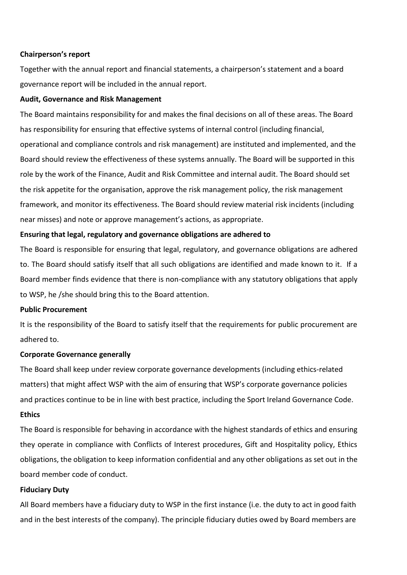## **Chairperson's report**

Together with the annual report and financial statements, a chairperson's statement and a board governance report will be included in the annual report.

## **Audit, Governance and Risk Management**

The Board maintains responsibility for and makes the final decisions on all of these areas. The Board has responsibility for ensuring that effective systems of internal control (including financial, operational and compliance controls and risk management) are instituted and implemented, and the Board should review the effectiveness of these systems annually. The Board will be supported in this role by the work of the Finance, Audit and Risk Committee and internal audit. The Board should set the risk appetite for the organisation, approve the risk management policy, the risk management framework, and monitor its effectiveness. The Board should review material risk incidents (including near misses) and note or approve management's actions, as appropriate.

# **Ensuring that legal, regulatory and governance obligations are adhered to**

The Board is responsible for ensuring that legal, regulatory, and governance obligations are adhered to. The Board should satisfy itself that all such obligations are identified and made known to it. If a Board member finds evidence that there is non-compliance with any statutory obligations that apply to WSP, he /she should bring this to the Board attention.

# **Public Procurement**

It is the responsibility of the Board to satisfy itself that the requirements for public procurement are adhered to.

# **Corporate Governance generally**

The Board shall keep under review corporate governance developments (including ethics-related matters) that might affect WSP with the aim of ensuring that WSP's corporate governance policies and practices continue to be in line with best practice, including the Sport Ireland Governance Code.

## **Ethics**

The Board is responsible for behaving in accordance with the highest standards of ethics and ensuring they operate in compliance with Conflicts of Interest procedures, Gift and Hospitality policy, Ethics obligations, the obligation to keep information confidential and any other obligations as set out in the board member code of conduct.

# **Fiduciary Duty**

All Board members have a fiduciary duty to WSP in the first instance (i.e. the duty to act in good faith and in the best interests of the company). The principle fiduciary duties owed by Board members are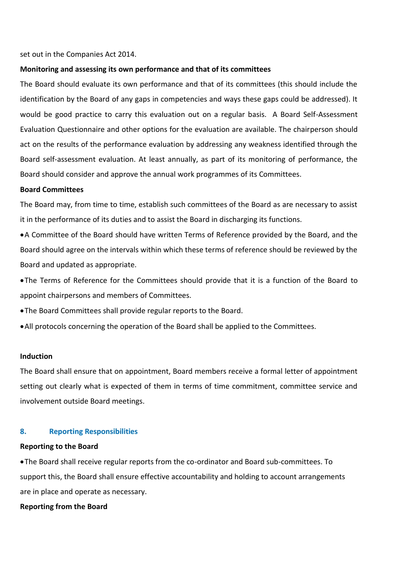#### set out in the Companies Act 2014.

#### **Monitoring and assessing its own performance and that of its committees**

The Board should evaluate its own performance and that of its committees (this should include the identification by the Board of any gaps in competencies and ways these gaps could be addressed). It would be good practice to carry this evaluation out on a regular basis. A Board Self-Assessment Evaluation Questionnaire and other options for the evaluation are available. The chairperson should act on the results of the performance evaluation by addressing any weakness identified through the Board self-assessment evaluation. At least annually, as part of its monitoring of performance, the Board should consider and approve the annual work programmes of its Committees.

#### **Board Committees**

The Board may, from time to time, establish such committees of the Board as are necessary to assist it in the performance of its duties and to assist the Board in discharging its functions.

•A Committee of the Board should have written Terms of Reference provided by the Board, and the Board should agree on the intervals within which these terms of reference should be reviewed by the Board and updated as appropriate.

•The Terms of Reference for the Committees should provide that it is a function of the Board to appoint chairpersons and members of Committees.

•The Board Committees shall provide regular reports to the Board.

•All protocols concerning the operation of the Board shall be applied to the Committees.

# **Induction**

The Board shall ensure that on appointment, Board members receive a formal letter of appointment setting out clearly what is expected of them in terms of time commitment, committee service and involvement outside Board meetings.

## **8. Reporting Responsibilities**

#### **Reporting to the Board**

•The Board shall receive regular reports from the co-ordinator and Board sub-committees. To support this, the Board shall ensure effective accountability and holding to account arrangements are in place and operate as necessary.

#### **Reporting from the Board**